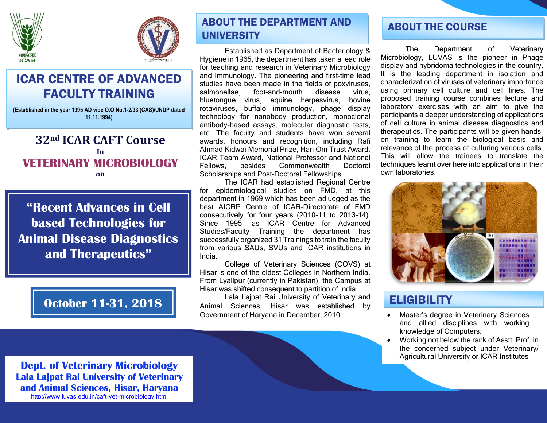



# ICAR CENTRE OF ADVANCED FACULTY TRAINING

**(Established in the year 1995 AD vide O.O.No.1-2/93 (CAS)/UNDP dated 11.11.1994)**

## **32nd ICAR CAFT Course In VETERINARY MICROBIOLOGY on**

**"Recent Advances in Cell based Technologies for Animal Disease Diagnostics and Therapeutics"**

## ABOUT THE DEPARTMENT AND **UNIVERSITY**

Established as Department of Bacteriology & Hygiene in 1965, the department has taken a lead role for teaching and research in Veterinary Microbiology and Immunology. The pioneering and first-time lead studies have been made in the fields of poxviruses, salmonellae, foot-and-mouth disease virus, bluetongue virus, equine herpesvirus, bovine rotaviruses, buffalo immunology, phage display technology for nanobody production, monoclonal antibody-based assays, molecular diagnostic tests, etc. The faculty and students have won several awards, honours and recognition, including Rafi Ahmad Kidwai Memorial Prize, Hari Om Trust Award, ICAR Team Award, National Professor and National Fellows, besides Commonwealth Doctoral Scholarships and Post-Doctoral Fellowships.

The ICAR had established Regional Centre for epidemiological studies on FMD, at this department in 1969 which has been adjudged as the best AICRP Centre of ICAR-Directorate of FMD consecutively for four years (2010-11 to 2013-14). Since 1995, as ICAR Centre for Advanced Studies/Faculty Training the department has successfully organized 31 Trainings to train the faculty from various SAUs, SVUs and ICAR institutions in India.

College of Veterinary Sciences (COVS) at Hisar is one of the oldest Colleges in Northern India. From Lyallpur (currently in Pakistan), the Campus at Hisar was shifted consequent to partition of India.

**October 11-31, 2018** animal Sciences, Hisar was established by **ELIGIBILITY** Lala Lajpat Rai University of Veterinary and Animal Sciences, Hisar was established by Government of Haryana in December, 2010.

### $\overline{a}$ ABOUT THE COURSE

The Department of Veterinary Microbiology, LUVAS is the pioneer in Phage display and hybridoma technologies in the country. It is the leading department in isolation and characterization of viruses of veterinary importance using primary cell culture and cell lines. The proposed training course combines lecture and laboratory exercises with an aim to give the participants a deeper understanding of applications of cell culture in animal disease diagnostics and therapeutics. The participants will be given handson training to learn the biological basis and relevance of the process of culturing various cells. This will allow the trainees to translate the techniques learnt over here into applications in their own laboratories.



- Master's degree in Veterinary Sciences and allied disciplines with working knowledge of Computers.
- Working not below the rank of Asstt. Prof. in the concerned subject under Veterinary/ Agricultural University or ICAR Institutes

**Dept. of Veterinary Microbiology Lala Lajpat Rai University of Veterinary and Animal Sciences, Hisar, Haryana** http://www.luvas.edu.in/caft-vet-microbiology.html